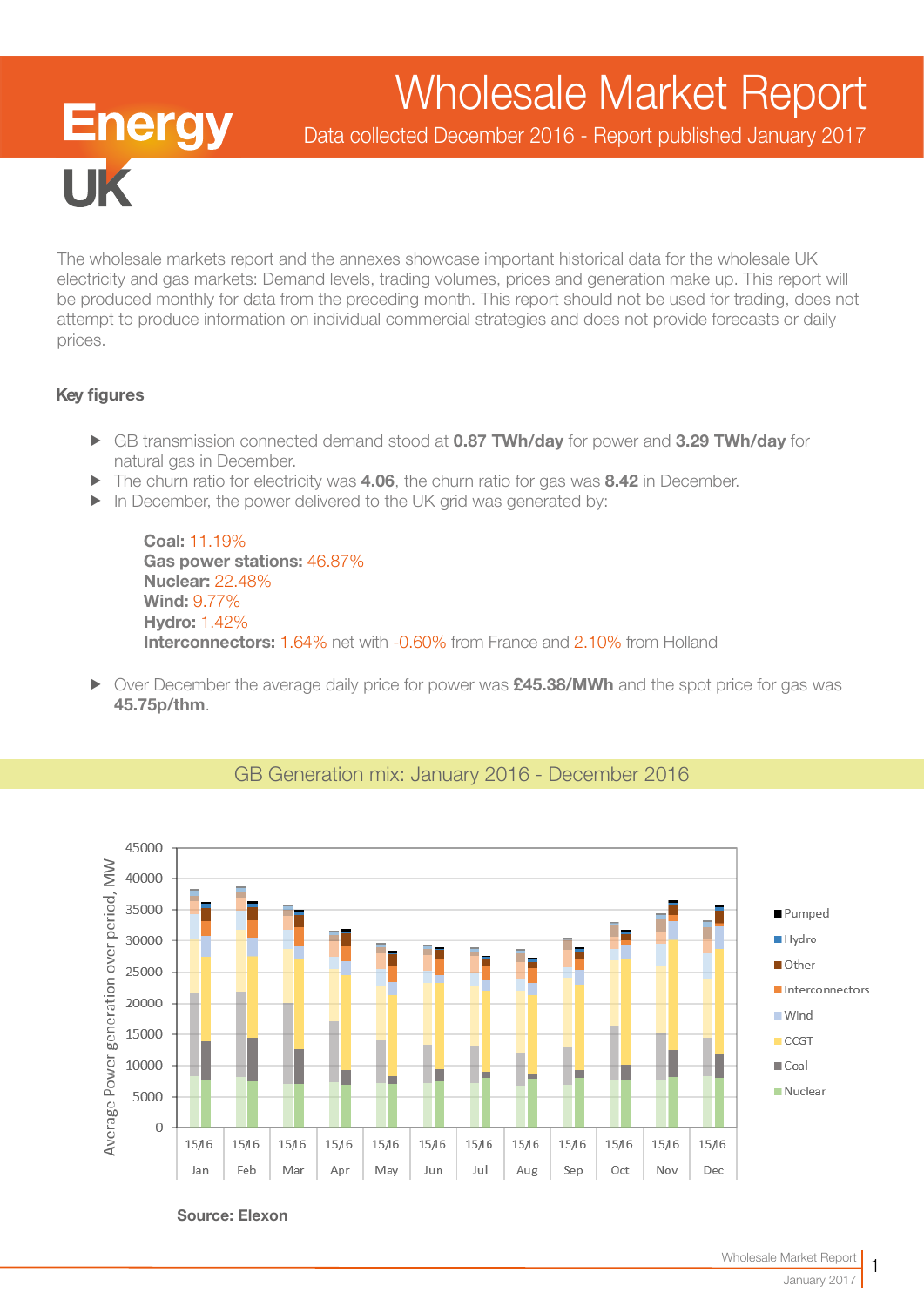# Wholesale Market Report

Data collected December 2016 - Report published January 2017

The wholesale markets report and the annexes showcase important historical data for the wholesale UK electricity and gas markets: Demand levels, trading volumes, prices and generation make up. This report will be produced monthly for data from the preceding month. This report should not be used for trading, does not attempt to produce information on individual commercial strategies and does not provide forecasts or daily prices.

#### Key figures

**IIK** 

**Energy** 

- ► GB transmission connected demand stood at 0.87 TWh/day for power and 3.29 TWh/day for natural gas in December.
- $\blacktriangleright$  The churn ratio for electricity was 4.06, the churn ratio for gas was 8.42 in December.
- $\blacktriangleright$  In December, the power delivered to the UK grid was generated by:

Coal: 11.19% Gas power stations: 46.87% Nuclear: 22.48% Wind: 9.77% Hydro: 1.42% Interconnectors: 1.64% net with -0.60% from France and 2.10% from Holland

▶ Over December the average daily price for power was £45.38/MWh and the spot price for gas was 45.75p/thm.



## GB Generation mix: January 2016 - December 2016

Source: Elexon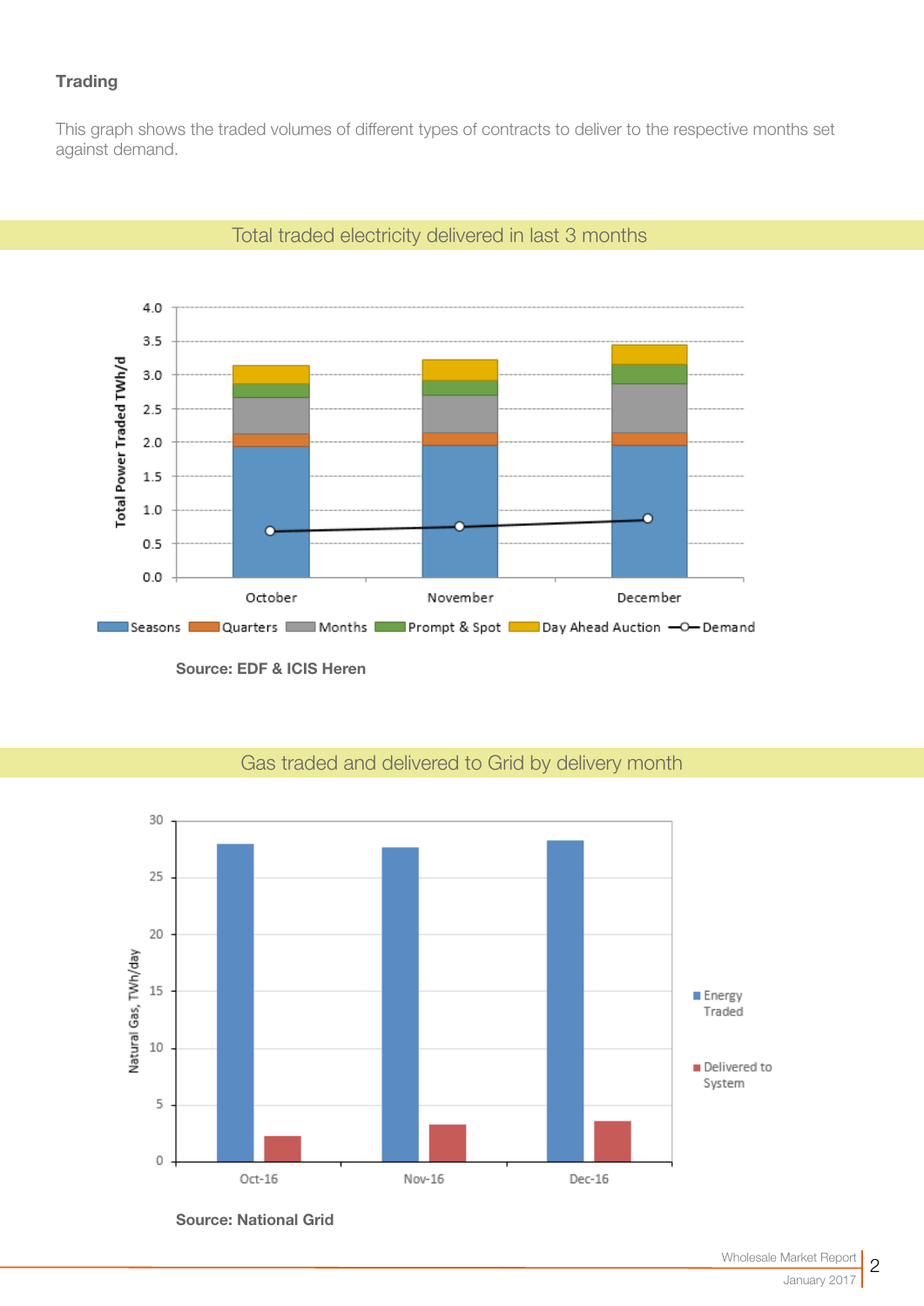## **Trading**

This graph shows the traded volumes of different types of contracts to deliver to the respective months set against demand.



### Total traded electricity delivered in last 3 months

Source: EDF & ICIS Heren



# Gas traded and delivered to Grid by delivery month

Source: National Grid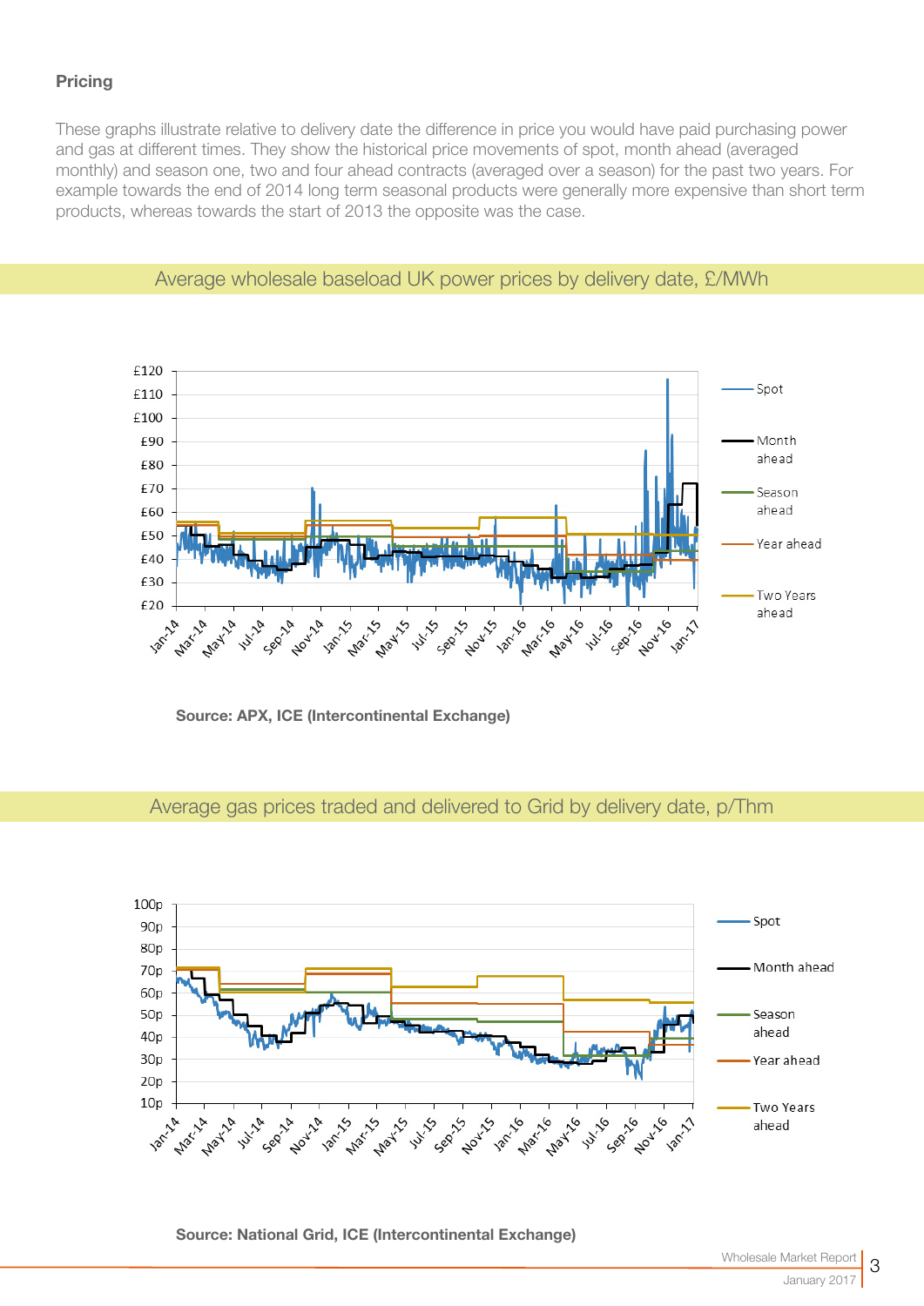#### **Pricing**

These graphs illustrate relative to delivery date the difference in price you would have paid purchasing power and gas at different times. They show the historical price movements of spot, month ahead (averaged monthly) and season one, two and four ahead contracts (averaged over a season) for the past two years. For example towards the end of 2014 long term seasonal products were generally more expensive than short term products, whereas towards the start of 2013 the opposite was the case.



#### Average wholesale baseload UK power prices by delivery date, £/MWh

Source: APX, ICE (Intercontinental Exchange)

#### Average gas prices traded and delivered to Grid by delivery date, p/Thm



Source: National Grid, ICE (Intercontinental Exchange)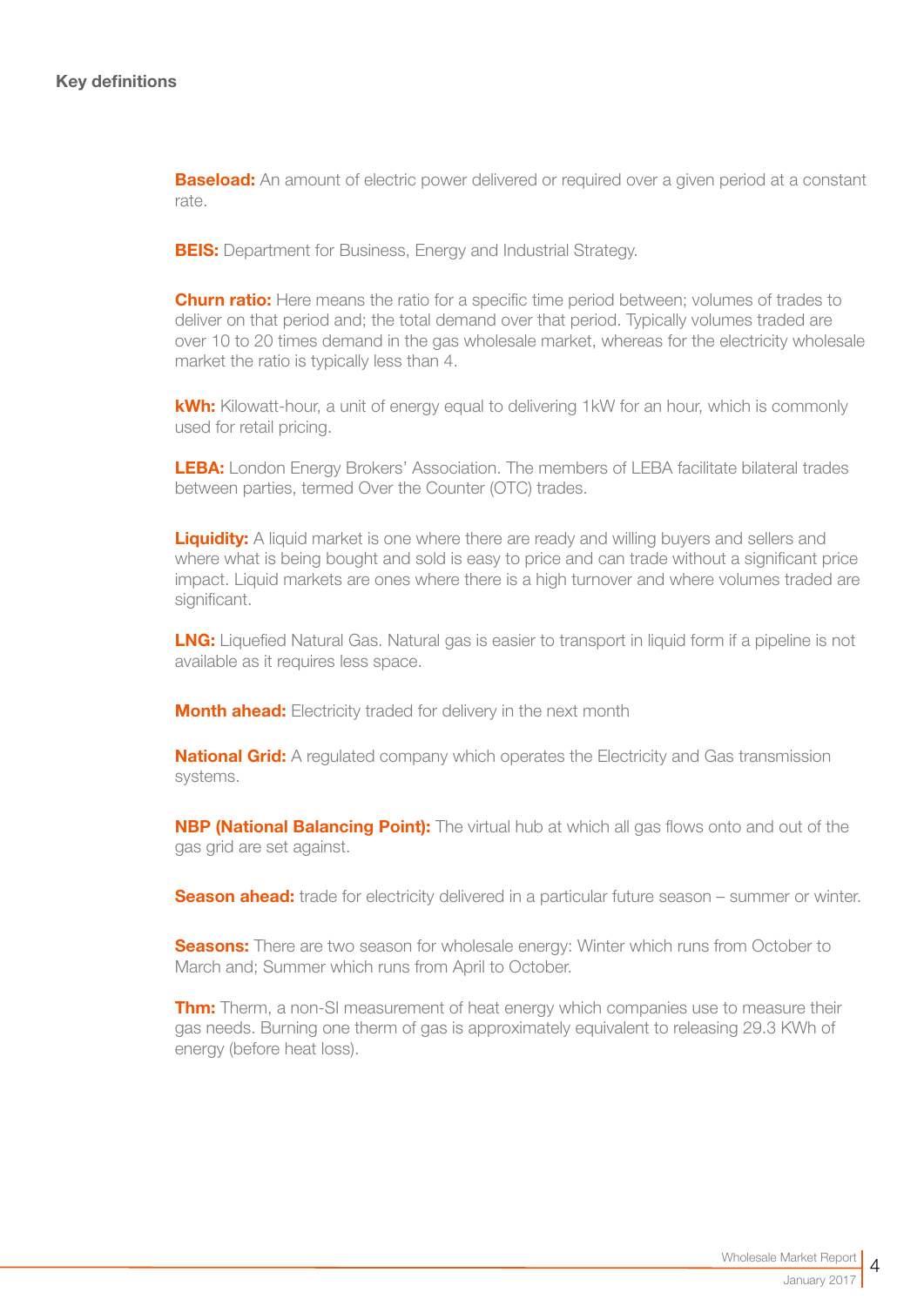**Baseload:** An amount of electric power delivered or required over a given period at a constant rate.

**BEIS:** Department for Business, Energy and Industrial Strategy.

**Churn ratio:** Here means the ratio for a specific time period between; volumes of trades to deliver on that period and; the total demand over that period. Typically volumes traded are over 10 to 20 times demand in the gas wholesale market, whereas for the electricity wholesale market the ratio is typically less than 4.

kWh: Kilowatt-hour, a unit of energy equal to delivering 1kW for an hour, which is commonly used for retail pricing.

LEBA: London Energy Brokers' Association. The members of LEBA facilitate bilateral trades between parties, termed Over the Counter (OTC) trades.

**Liquidity:** A liquid market is one where there are ready and willing buyers and sellers and where what is being bought and sold is easy to price and can trade without a significant price impact. Liquid markets are ones where there is a high turnover and where volumes traded are significant.

**LNG:** Liquefied Natural Gas. Natural gas is easier to transport in liquid form if a pipeline is not available as it requires less space.

**Month ahead:** Electricity traded for delivery in the next month

**National Grid:** A regulated company which operates the Electricity and Gas transmission systems.

**NBP (National Balancing Point):** The virtual hub at which all gas flows onto and out of the gas grid are set against.

**Season ahead:** trade for electricity delivered in a particular future season – summer or winter.

**Seasons:** There are two season for wholesale energy: Winter which runs from October to March and; Summer which runs from April to October.

**Thm:** Therm, a non-SI measurement of heat energy which companies use to measure their gas needs. Burning one therm of gas is approximately equivalent to releasing 29.3 KWh of energy (before heat loss).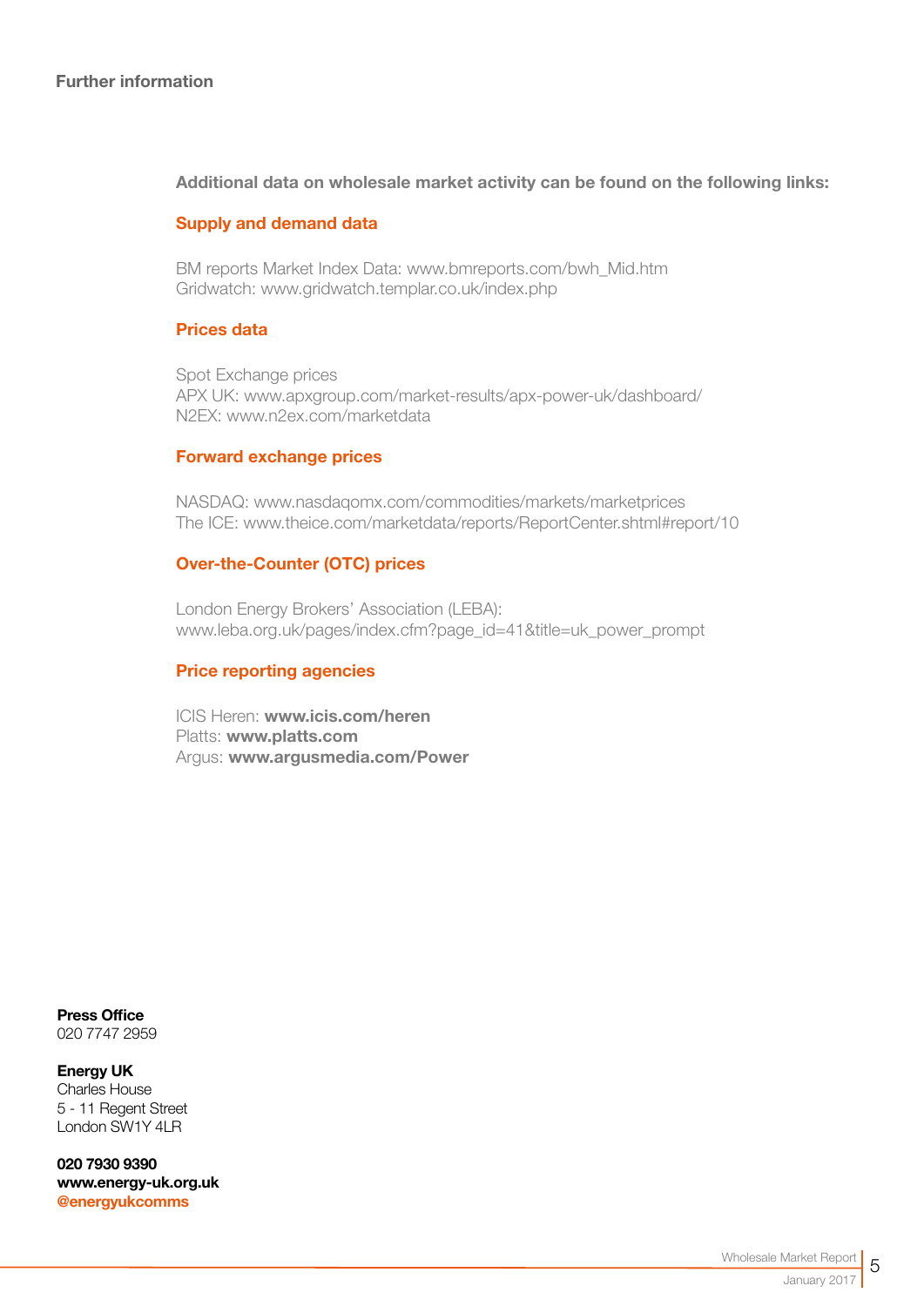#### Additional data on wholesale market activity can be found on the following links:

#### Supply and demand data

BM reports Market Index Data[: www.bmreports.com/bwh\\_Mid.htm](http://www.bmreports.com/bwh_Mid.htm)  Gridwatch[: www.gridwatch.templar.co.uk/index.php](http://www.gridwatch.templar.co.uk/index.php)

#### Prices data

Spot Exchange prices APX UK: [www.apxgroup.com/market-results/apx-power-uk/dashboard/](http://www.apxgroup.com/market-results/apx-power-uk/dashboard/ )  N2EX: [www.n2ex.com/marketdata](http://www.nordpoolspot.com/Market-data1/N2EX/) 

#### Forward exchange prices

NASDAQ: [www.nasdaqomx.com/commodities/markets/marketprices](http://www.nasdaqomx.com/commodities/markets/marketprices )  The ICE: [www.theice.com/marketdata/reports/ReportCenter.shtml#report/10](http://www.theice.com/marketdata/reports/ReportCenter.shtml#report/10 )

#### Over-the-Counter (OTC) prices

London Energy Brokers' Association (LEBA): [www.leba.org.uk/pages/index.cfm?page\\_id=41&title=uk\\_power\\_prompt](http://www.leba.org.uk/pages/index.cfm?page_id=41&title=uk_power_prompt 
) 

#### Price reporting agencies

ICIS Heren: [www.icis.com/heren](http://www.icis.com/heren)  Platts: [www.platts.com](http://www.platts.com/) Argus: [www.argusmedia.com/Power](http://www.argusmedia.com/Power)

Press Office 020 7747 2959

Energy UK Charles House 5 - 11 Regent Street London SW1Y 4LR

020 7930 9390 [www.energy-uk.org.uk](http://www.energy-uk.org.uk) [@energyukcomms](http://twitter.com/EnergyUKcomms)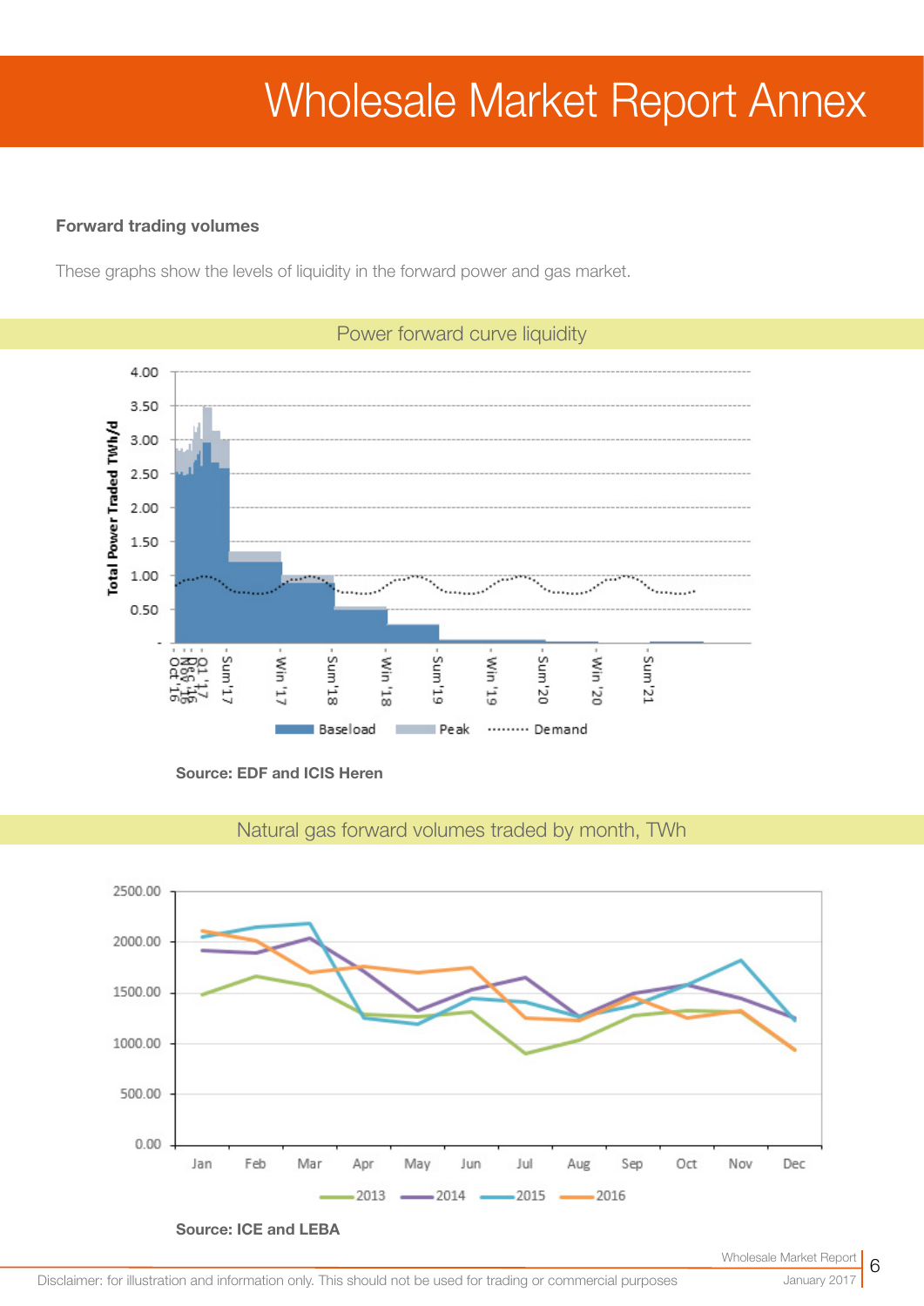# Wholesale Market Report Annex

#### Forward trading volumes

These graphs show the levels of liquidity in the forward power and gas market.



Source: EDF and ICIS Heren



Natural gas forward volumes traded by month, TWh

January 2017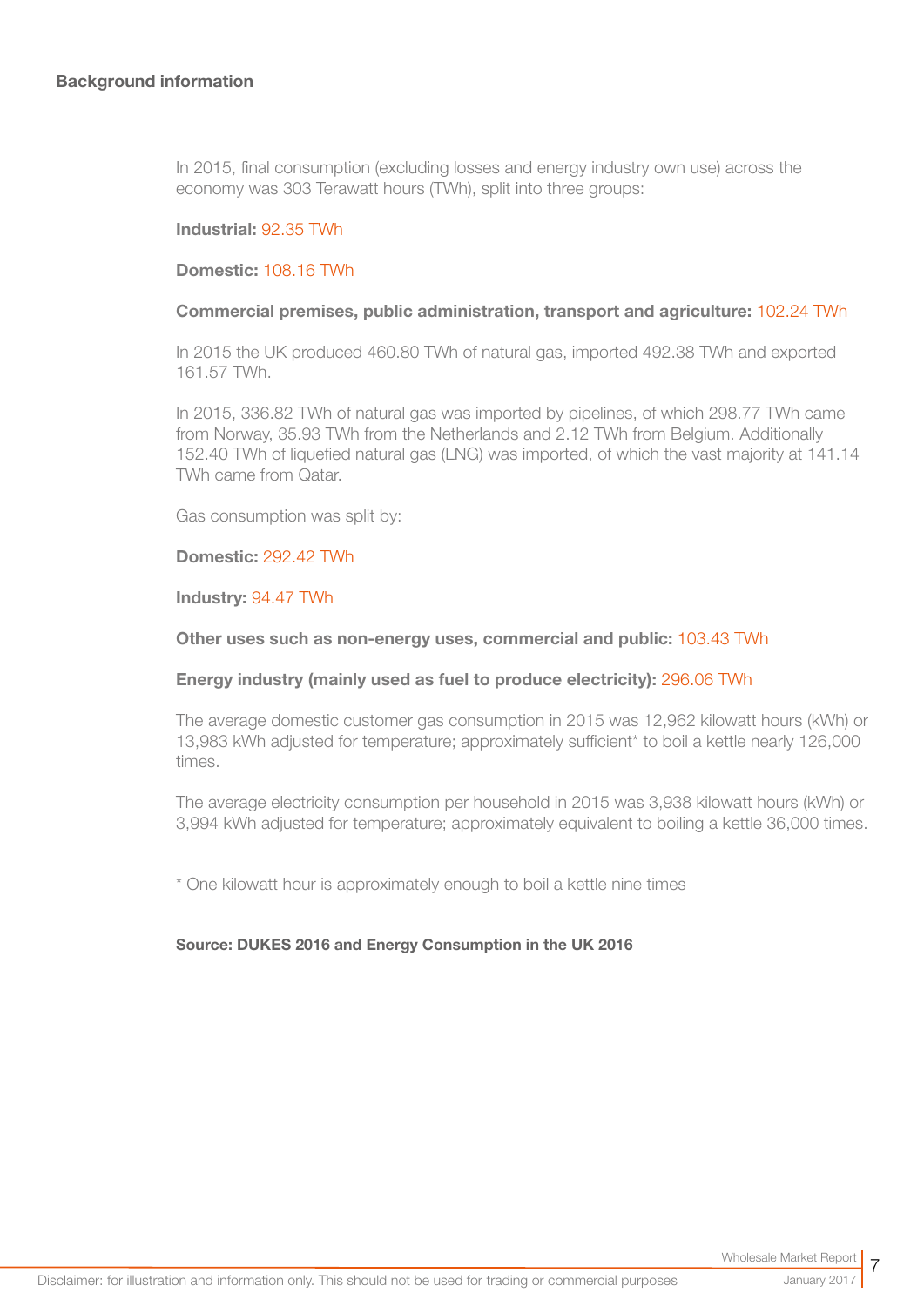In 2015, final consumption (excluding losses and energy industry own use) across the economy was 303 Terawatt hours (TWh), split into three groups:

#### Industrial: 92.35 TWh

#### Domestic: 108.16 TWh

#### Commercial premises, public administration, transport and agriculture: 102.24 TWh

In 2015 the UK produced 460.80 TWh of natural gas, imported 492.38 TWh and exported 161.57 TWh.

In 2015, 336.82 TWh of natural gas was imported by pipelines, of which 298.77 TWh came from Norway, 35.93 TWh from the Netherlands and 2.12 TWh from Belgium. Additionally 152.40 TWh of liquefied natural gas (LNG) was imported, of which the vast majority at 141.14 TWh came from Qatar.

Gas consumption was split by:

#### Domestic: 292.42 TWh

#### Industry: 94.47 TWh

#### Other uses such as non-energy uses, commercial and public: 103.43 TWh

#### Energy industry (mainly used as fuel to produce electricity): 296.06 TWh

The average domestic customer gas consumption in 2015 was 12,962 kilowatt hours (kWh) or 13,983 kWh adjusted for temperature; approximately sufficient\* to boil a kettle nearly 126,000 times.

The average electricity consumption per household in 2015 was 3,938 kilowatt hours (kWh) or 3,994 kWh adjusted for temperature; approximately equivalent to boiling a kettle 36,000 times.

\* One kilowatt hour is approximately enough to boil a kettle nine times

#### Source: DUKES 2016 and Energy Consumption in the UK 2016

7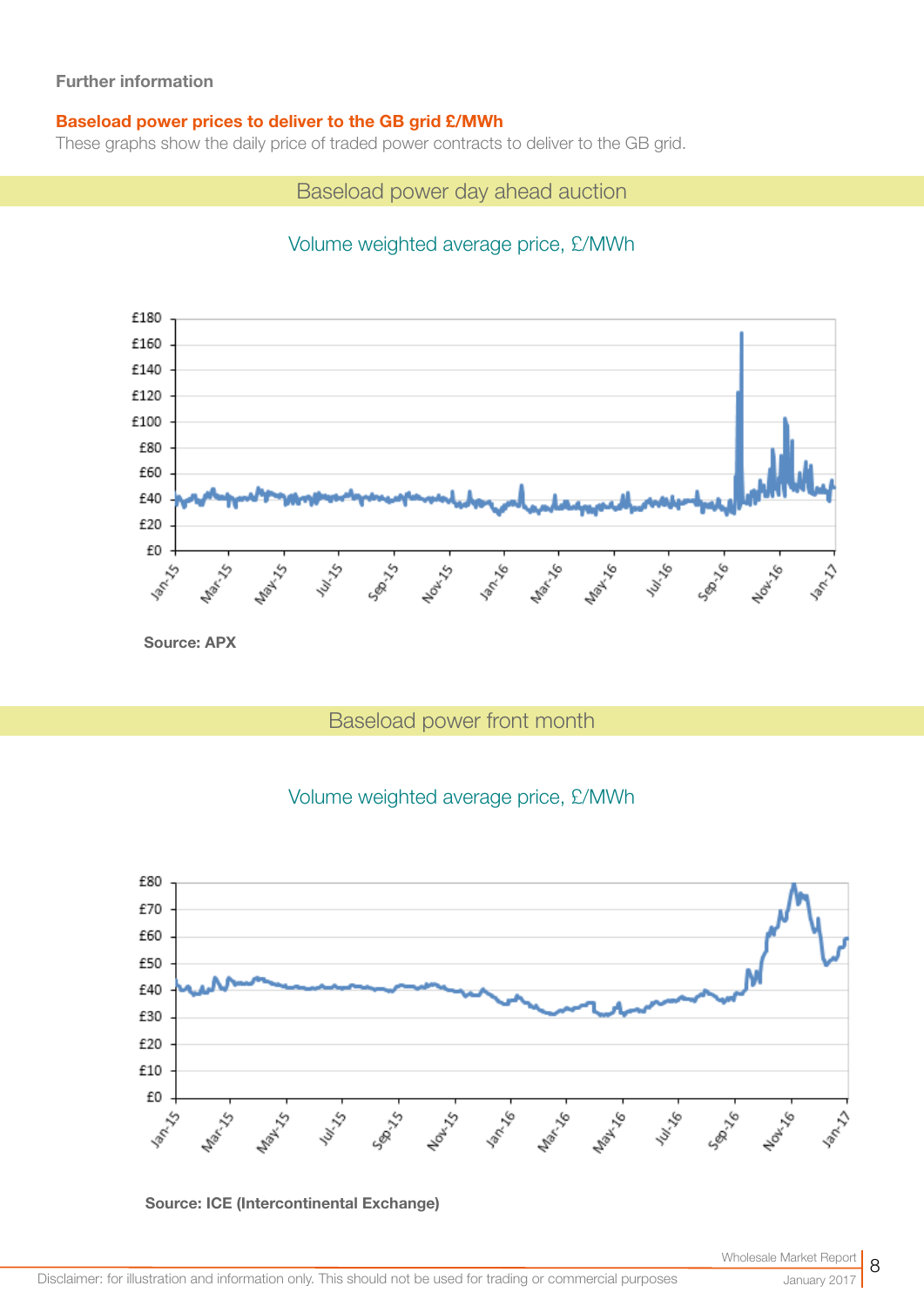#### Baseload power prices to deliver to the GB grid £/MWh

These graphs show the daily price of traded power contracts to deliver to the GB grid.

Baseload power day ahead auction

# Volume weighted average price, £/MWh



Source: APX

# Baseload power front month

## Volume weighted average price, £/MWh





8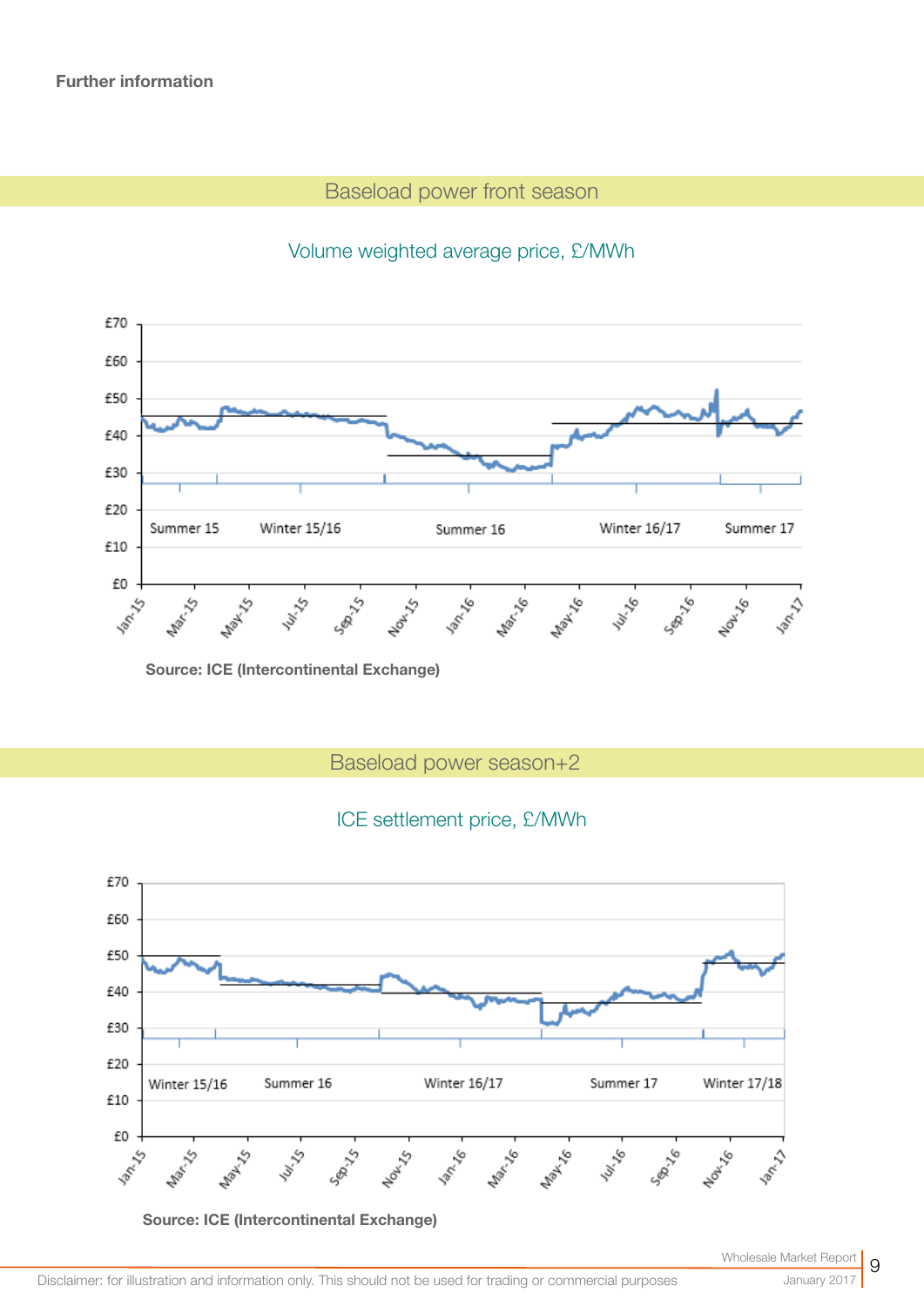# Baseload power front season



## Volume weighted average price, £/MWh

Source: ICE (Intercontinental Exchange)

# Baseload power season+2

## ICE settlement price, £/MWh

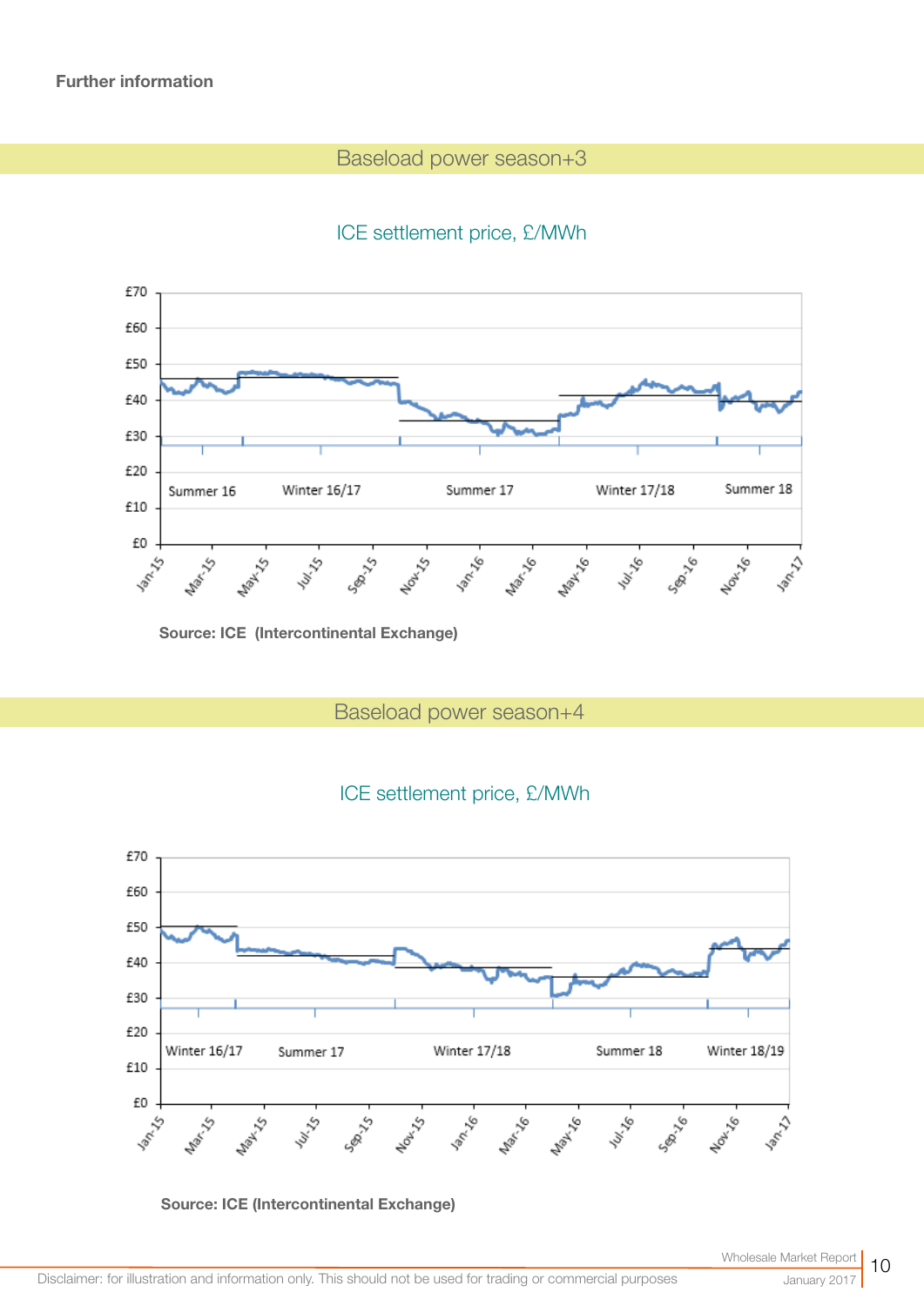## Baseload power season+3

# ICE settlement price, £/MWh



Source: ICE (Intercontinental Exchange)

Baseload power season+4



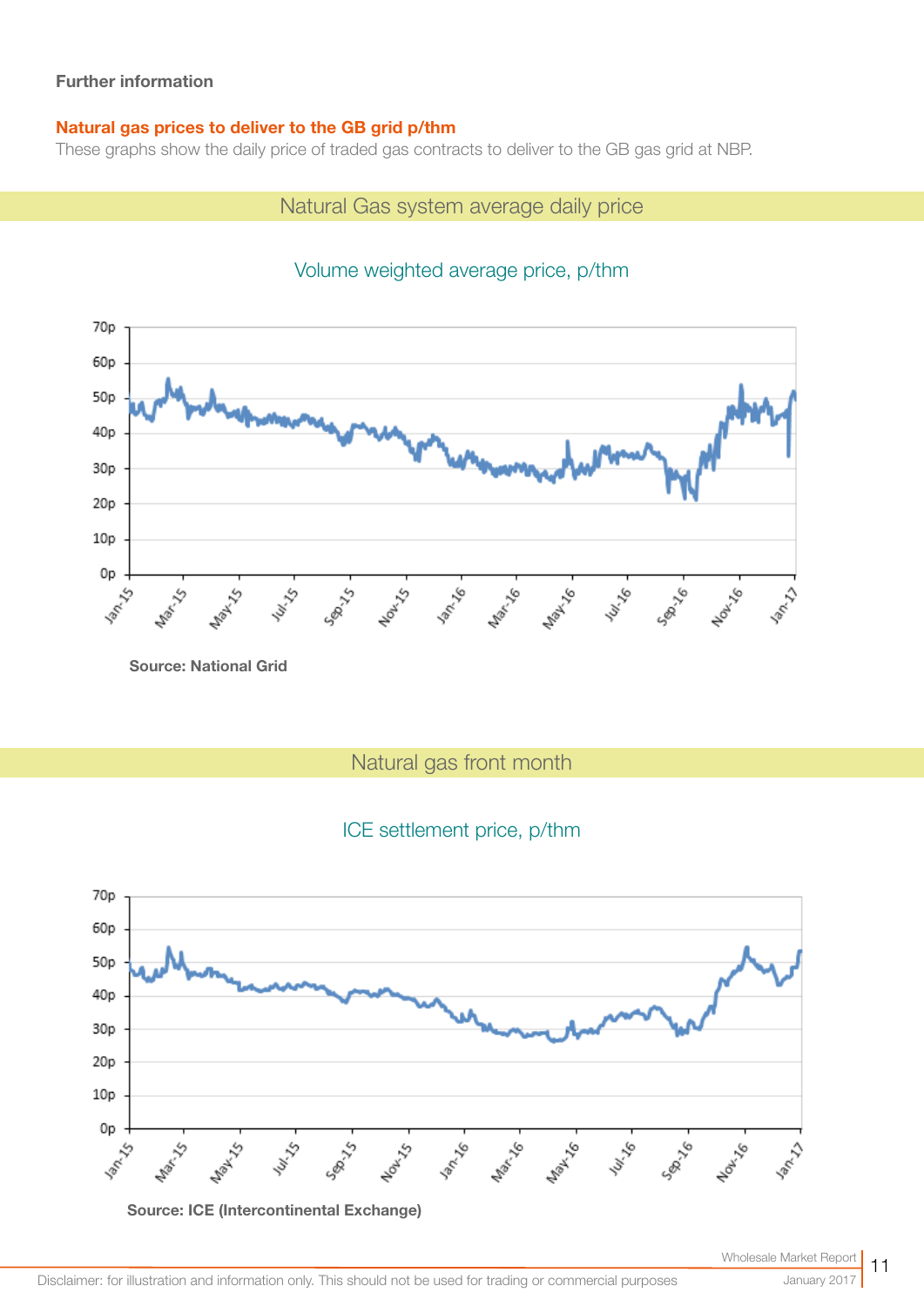#### Natural gas prices to deliver to the GB grid p/thm

These graphs show the daily price of traded gas contracts to deliver to the GB gas grid at NBP.

## Natural Gas system average daily price



# Volume weighted average price, p/thm

Source: National Grid

Natural gas front month

# ICE settlement price, p/thm

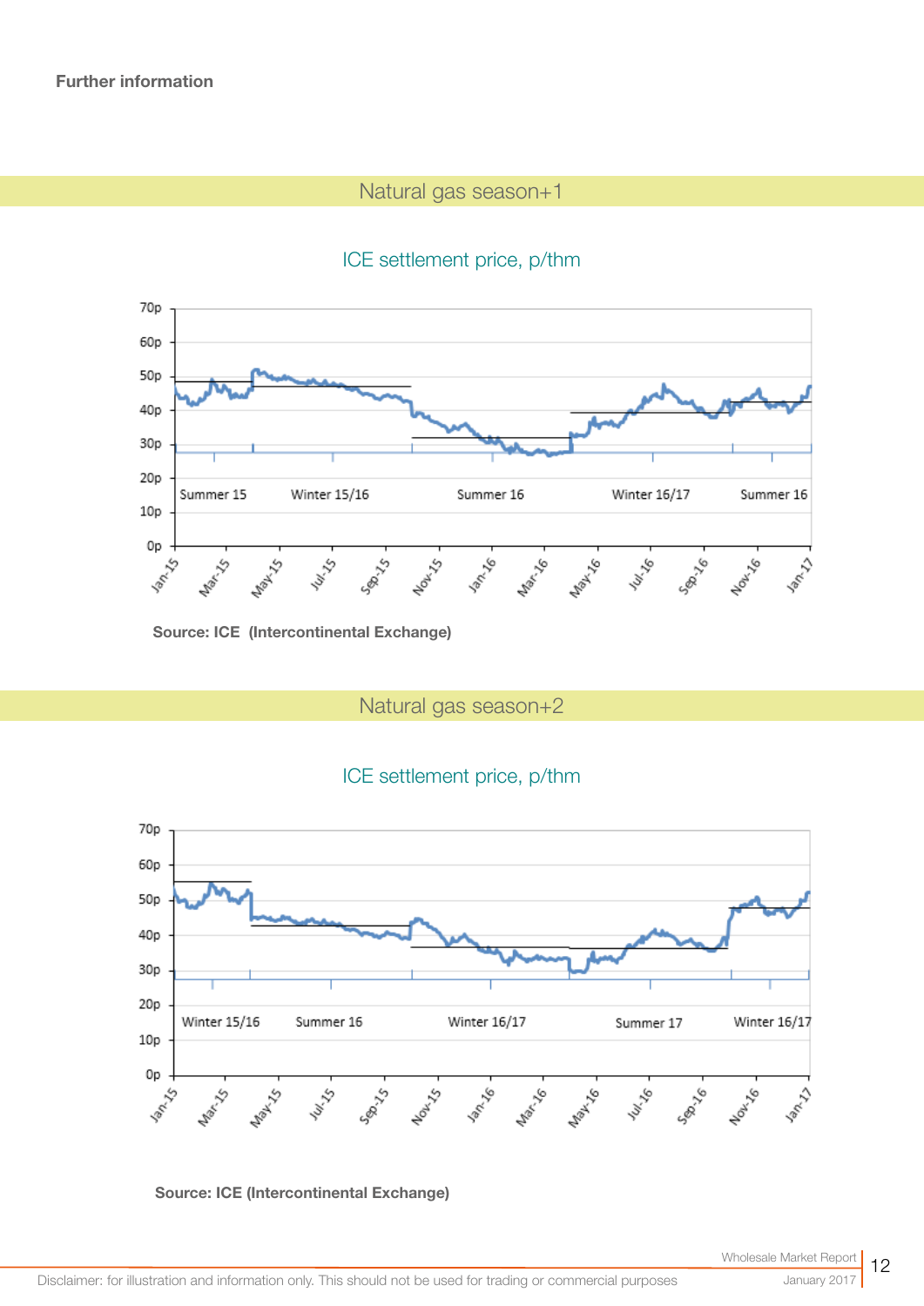# Natural gas season+1





Source: ICE (Intercontinental Exchange)

Natural gas season+2